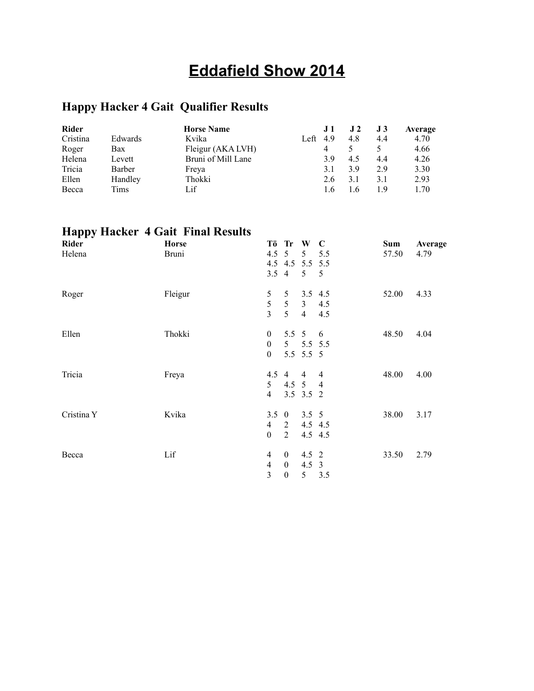# **Eddafield Show 2014**

# **Happy Hacker 4 Gait Qualifier Results**

| <b>Rider</b> |         | <b>Horse Name</b>  |      | J <sub>1</sub> | J2  | J3  | Average |
|--------------|---------|--------------------|------|----------------|-----|-----|---------|
| Cristina     | Edwards | Kvika              | Left | 4.9            | 4.8 | 4.4 | 4.70    |
| Roger        | Bax     | Fleigur (AKA LVH)  |      |                |     |     | 4.66    |
| Helena       | Levett  | Bruni of Mill Lane |      | 3.9            | 4.5 | 4.4 | 4.26    |
| Tricia       | Barber  | Freya              |      | 3.1            | 3.9 | 2.9 | 3.30    |
| Ellen        | Handley | Thokki             |      | 2.6            | 3.1 | 3.1 | 2.93    |
| Becca        | Tims    | Lif                |      |                | 16  | 19  | 1.70    |

# **Happy Hacker 4 Gait Final Results**

| Rider      | <b>Horse</b> |                  | Tö Tr W          |                | $\mathbf C$    | <b>Sum</b> | Average |
|------------|--------------|------------------|------------------|----------------|----------------|------------|---------|
| Helena     | <b>Bruni</b> | 4.5              | $\overline{5}$   | 5              | 5.5            | 57.50      | 4.79    |
|            |              |                  | 4.5 4.5 5.5 5.5  |                |                |            |         |
|            |              | $3.5 \quad 4$    |                  | 5              | 5              |            |         |
| Roger      | Fleigur      | 5                | 5                |                | $3.5$ 4.5      | 52.00      | 4.33    |
|            |              | 5                | $\sqrt{5}$       | 3 <sup>7</sup> | 4.5            |            |         |
|            |              | $\overline{3}$   | 5 <sup>5</sup>   | $\overline{4}$ | 4.5            |            |         |
| Ellen      | Thokki       | $\mathbf{0}$     |                  | 5.5 $5$        | 6              | 48.50      | 4.04    |
|            |              | $\boldsymbol{0}$ | 5 <sup>5</sup>   |                | 5.5 5.5        |            |         |
|            |              | $\boldsymbol{0}$ |                  | 5.5 5.5 5      |                |            |         |
| Tricia     | Freya        |                  | $4.5 \quad 4$    | $\overline{4}$ | $\overline{4}$ | 48.00      | 4.00    |
|            |              | 5                |                  | 4.5 5 4        |                |            |         |
|            |              | $\overline{4}$   |                  | 3.5 3.5 2      |                |            |         |
| Cristina Y | Kvika        | $3.5 \quad 0$    |                  | $3.5 \quad 5$  |                | 38.00      | 3.17    |
|            |              | $\overline{4}$   | 2                |                | $4.5$ 4.5      |            |         |
|            |              | $\boldsymbol{0}$ | $\overline{2}$   |                | 4.5 4.5        |            |         |
| Becca      | Lif          | $\overline{4}$   | $\mathbf{0}$     | $4.5 \t2$      |                | 33.50      | 2.79    |
|            |              | $\overline{4}$   | $\boldsymbol{0}$ | $4.5 \quad 3$  |                |            |         |
|            |              | 3                | $\boldsymbol{0}$ | 5              | 3.5            |            |         |
|            |              |                  |                  |                |                |            |         |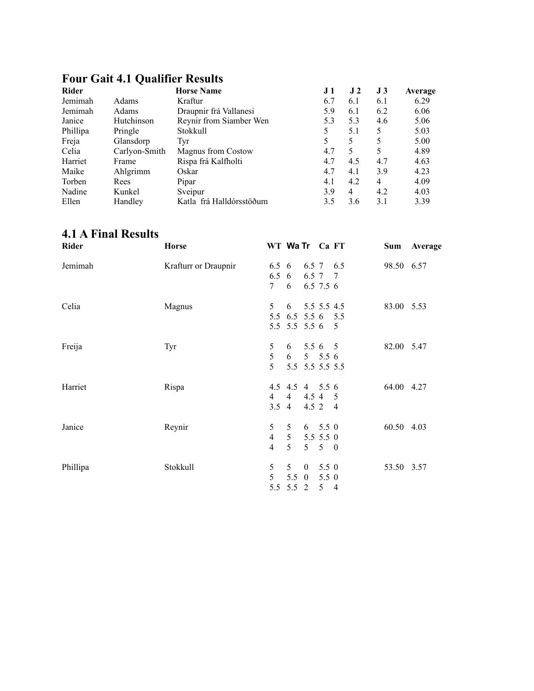| <b>Rider</b> |               | <b>Horse Name</b>         | J 1 | J <sub>2</sub> | J3  | Average |
|--------------|---------------|---------------------------|-----|----------------|-----|---------|
| Jemimah      | Adams         | Kraftur                   | 6.7 | 6.1            | 6.1 | 6.29    |
| Jemimah      | Adams         | Draupnir frá Vallanesi    | 5.9 | 6.1            | 6.2 | 6.06    |
| Janice       | Hutchinson    | Reynir from Siamber Wen   | 5.3 | 5.3            | 4.6 | 5.06    |
| Phillipa     | Pringle       | Stokkull                  | 5   | 5.1            | 5   | 5.03    |
| Freja        | Glansdorp     | Tyr                       | 5   | 5              | 5   | 5.00    |
| Celia        | Carlyon-Smith | <b>Magnus from Costow</b> | 4.7 | 5              | 5   | 4.89    |
| Harriet      | Frame         | Rispa frá Kalfholti       | 4.7 | 4.5            | 4.7 | 4.63    |
| Maike        | Ahlgrimm      | Oskar                     | 4.7 | 4.1            | 3.9 | 4.23    |
| Torben       | Rees          | Pipar                     | 4.1 | 4.2            | 4   | 4.09    |
| Nadine       | Kunkel        | Sveipur                   | 3.9 | 4              | 4.2 | 4.03    |
| Ellen        | Handley       | Katla frá Halldórsstöðum  | 3.5 | 3.6            | 3.1 | 3.39    |

#### **Four Gait 4.1 Qualifier Results**

#### **4.1 A Final Results**

| Rider    | <b>Horse</b>         |                                                    | WT Wa Tr Ca FT                                      |                                |                                  | Sum        | Average |
|----------|----------------------|----------------------------------------------------|-----------------------------------------------------|--------------------------------|----------------------------------|------------|---------|
| Jemimah  | Krafturr or Draupnir | 6.5<br>$7\degree$                                  | 6.5 6 6.5 7 6.5<br>6<br>6                           |                                | 6.5 7 7<br>6.5 7.5 6             | 98.50 6.57 |         |
| Celia    | Magnus               | 5                                                  | 5.5 6.5 5.5 6 5.5<br>5.5 5.5 5.5 6 5                | $6$ 5.5 5.5 4.5                |                                  | 83.00 5.53 |         |
| Freija   | Tyr                  | 5<br>5<br>$\overline{\mathcal{L}}$                 | 6                                                   | $6$ 5.5 6 5<br>5.5 5.5 5.5 5.5 | $5\quad 5.5\ 6$                  | 82.00 5.47 |         |
| Harriet  | Rispa                | $\overline{4}$                                     | 4.5 4.5 4 5.5 6<br>$4\overline{ }$<br>$3.5 \quad 4$ |                                | 4.5 4 5<br>$4.5$ 2 4             | 64.00 4.27 |         |
| Janice   | Reynir               | 5 <sup>5</sup><br>$\overline{4}$<br>$\overline{4}$ | 5 <sup>5</sup><br>5 <sup>5</sup>                    | $5$ $5.5$ $5.5$ 0              | $6$ 5.5 0<br>$5 \quad 5 \quad 0$ | 60.50 4.03 |         |
| Phillipa | Stokkull             | 5<br>5 <sup>5</sup>                                | 5 <sup>5</sup><br>$5.5 \quad 0$<br>5.5 5.5 2        | $\overline{0}$                 | 5.5 0<br>5.5 0<br>$5\quad 4$     | 53.50 3.57 |         |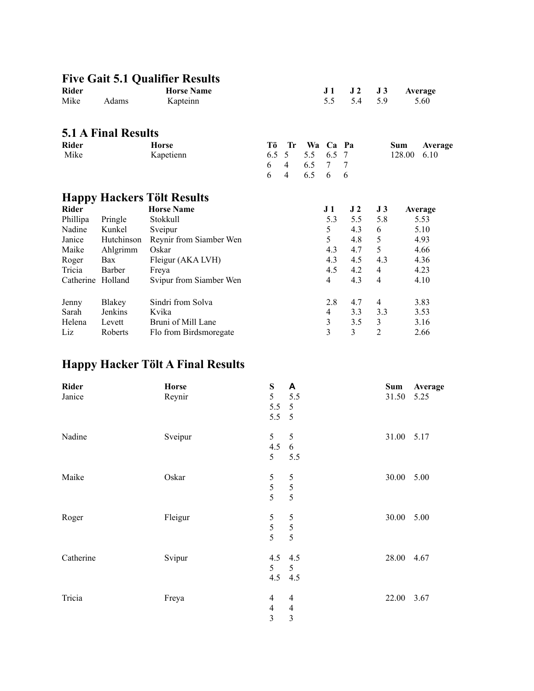#### **Five Gait 5.1 Qualifier Results Rider Horse Name J 1 J 2 J 3 Average** Mike Adams Kapteinn 5.5 5.4 5.9 5.60 **5.1 A Final Results Rider Horse Tö Tr Wa Ca Pa Sum Average** Mike Kapetienn 6.5 5 5.5 6.5 7 128.00 6.10<br>6 4 6.5 7 7 6 4 6.5 7 7 6 4 6.5 6 6 **Happy Hackers Tölt Results Rider Horse Name J 1 J 2 J 3 Average** Phillipa Pringle Stokkull 5.3 5.5 5.8 5.53 Nadine Kunkel Sveipur 1988 and 5 4.3 6 5.10 Janice Hutchinson Reynir from Siamber Wen 5 4.8 5 4.93<br>
Maike Ahlgrimm Oskar 4.3 4.7 5 4.66 Ahlgrimm Oskar 1.3 4.7 5 4.66<br>Bax Fleigur (AKA LVH) 4.3 4.5 4.3 4.3 4.36 Roger Bax Fleigur (AKA LVH) 4.3 4.5 4.3 4.36 Tricia Barber Freya 1.5 4.5 4.2 4 4.23 Catherine Holland Svipur from Siamber Wen 4 4.3 4 4.10 19 Jenny Blakey Sindri from Solva 2.8 4.7 4 3.83<br>
Sarah Jenkins Kvika 4 3.3 3.53 Sarah Jenkins Kvika 4 3.3 3.3 3.53 Helena Levett Bruni of Mill Lane 3 3.5 3 3.16<br>
Liz Roberts Flo from Birdsmoregate 3 3 3 2 2.66 Liz Roberts Flo from Birdsmoregate 3 3 3 2 2.66

#### **Happy Hacker Tölt A Final Results**

| <b>Rider</b><br>Janice | <b>Horse</b><br>Reynir | ${\bf S}$<br>5<br>5.5<br>$5.5\ 5$                                     | A<br>5.5<br>$\overline{5}$                         | Sum<br>31.50 | Average<br>5.25 |
|------------------------|------------------------|-----------------------------------------------------------------------|----------------------------------------------------|--------------|-----------------|
| Nadine                 | Sveipur                | 5 <sup>5</sup><br>4.5<br>5                                            | 5<br>$\sqrt{6}$<br>5.5                             | 31.00 5.17   |                 |
| Maike                  | Oskar                  | 5<br>5<br>5                                                           | 5<br>$\sqrt{5}$<br>5                               | 30.00        | 5.00            |
| Roger                  | Fleigur                | $\sqrt{5}$<br>$rac{5}{5}$                                             | 5<br>$\frac{5}{5}$                                 | 30.00        | 5.00            |
| Catherine              | Svipur                 | 4.5<br>5<br>4.5                                                       | 4.5<br>5<br>4.5                                    | 28.00 4.67   |                 |
| Tricia                 | Freya                  | $\overline{4}$<br>$\overline{\mathcal{L}}$<br>$\overline{\mathbf{3}}$ | $\overline{4}$<br>$\overline{4}$<br>$\overline{3}$ | 22.00 3.67   |                 |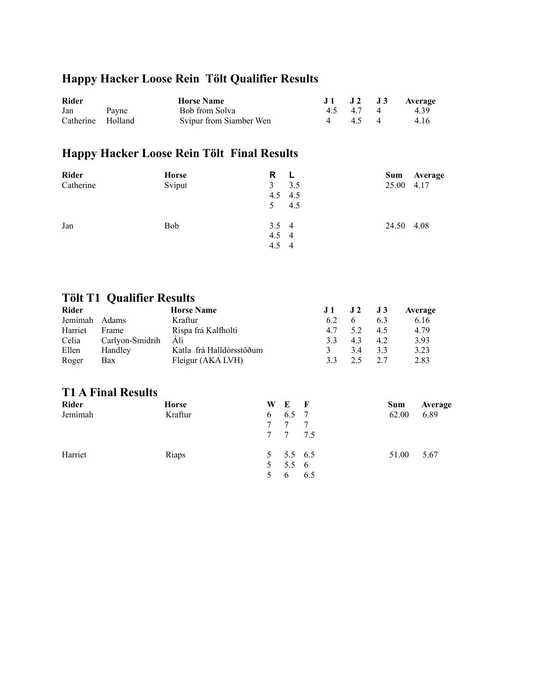## **Happy Hacker Loose Rein Tölt Qualifier Results**

| <b>Rider</b>      | <b>Horse Name</b>       |  |        | J1 J2 J3 Average |
|-------------------|-------------------------|--|--------|------------------|
| Jan Payne         | Bob from Solva          |  |        | 4.5 4.7 4 4.39   |
| Catherine Holland | Svipur from Siamber Wen |  | 4 45 4 | 4.16             |

## **Happy Hacker Loose Rein Tölt Final Results**

| <b>Rider</b> | <b>Horse</b> | R<br>-L       | Sum<br>Average |
|--------------|--------------|---------------|----------------|
| Catherine    | Sviput       | 3<br>3.5      | 25.00 4.17     |
|              |              | $4.5$ $4.5$   |                |
|              |              | 4.5           |                |
| Jan          | <b>Bob</b>   | $3.5 \quad 4$ | 24.50 4.08     |
|              |              | $4.5 \quad 4$ |                |
|              |              | $4.5 \quad 4$ |                |

## **Tölt T1 Qualifier Results**

| Rider   |                 | <b>Horse Name</b>        | J1 | $\bf{J}2$ | J3  | Average |
|---------|-----------------|--------------------------|----|-----------|-----|---------|
| Jemimah | Adams           | Kraftur                  | 62 |           | 6.3 | 6.16    |
| Harriet | Frame           | Rispa frá Kalfholti      | 47 | 52        | 45  | 4.79    |
| Celia   | Carlyon-Smidrih | Ali                      | 33 | 43        | 4.2 | 3.93    |
| Ellen   | Handley         | Katla frá Halldórsstöðum |    | 34        | 3.3 | 3.23    |
| Roger   | Bax             | Fleigur (AKA LVH)        | 33 | っ く       | 27  | 2.83    |

#### **T1 A Final Results**

| Rider   | <b>Horse</b> | W E F                                   | Sum   | Average |
|---------|--------------|-----------------------------------------|-------|---------|
| Jemimah | Kraftur      | $6\quad 6.5\quad 7$<br>7 7 7<br>7 7 7.5 | 62.00 | 6.89    |
| Harriet | Riaps        | $5 \t 5.5 \t 6.5$<br>5 5.5 6<br>5 6 6.5 | 51.00 | 5.67    |